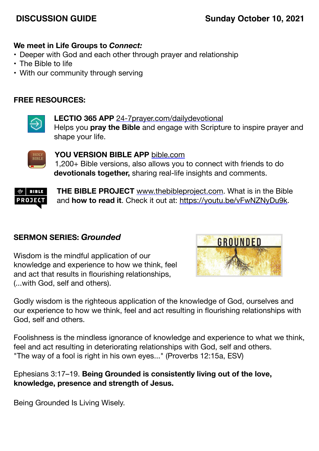# **DISCUSSION GUIDE Sunday October 10, 2021**

#### **We meet in Life Groups to** *Connect:*

- Deeper with God and each other through prayer and relationship
- The Bible to life
- With our community through serving

### **FREE RESOURCES:**



**LECTIO 365 APP** [24-7prayer.com/dailydevotional](http://24-7prayer.com/dailydevotional) Helps you **pray the Bible** and engage with Scripture to inspire prayer and shape your life.



**YOU VERSION BIBLE APP** [bible.com](http://bible.com) 1,200+ Bible versions, also allows you to connect with friends to do **devotionals together,** sharing real-life insights and comments.



**THE BIBLE PROJECT** [www.thebibleproject.com.](http://www.thebibleproject.com) What is in the Bible and **how to read it**. Check it out at:<https://youtu.be/vFwNZNyDu9k>.

#### **SERMON SERIES:** *Grounded*

Wisdom is the mindful application of our knowledge and experience to how we think, feel and act that results in flourishing relationships, (...with God, self and others).



Godly wisdom is the righteous application of the knowledge of God, ourselves and our experience to how we think, feel and act resulting in flourishing relationships with God, self and others.

Foolishness is the mindless ignorance of knowledge and experience to what we think, feel and act resulting in deteriorating relationships with God, self and others. "The way of a fool is right in his own eyes..." (Proverbs 12:15a, ESV)

Ephesians 3:17–19. **Being Grounded is consistently living out of the love, knowledge, presence and strength of Jesus.**

Being Grounded Is Living Wisely.